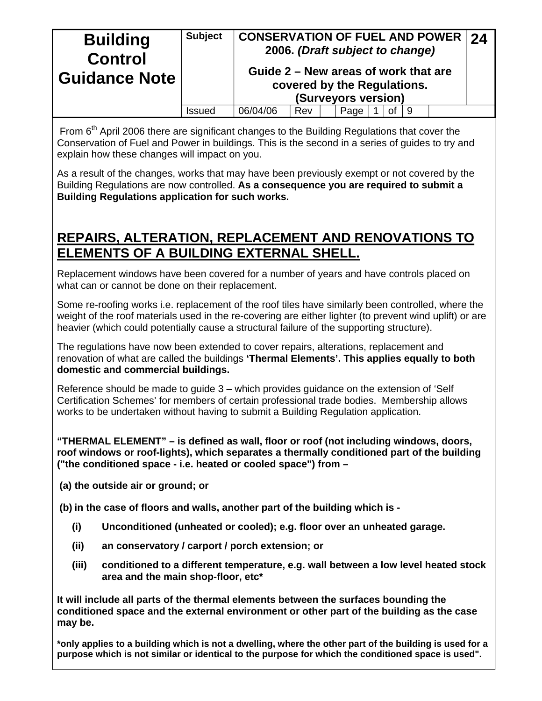| <b>Building</b><br><b>Control</b><br><b>Guidance Note</b> | <b>Subject</b> | <b>CONSERVATION OF FUEL AND POWER</b><br>Guide 2 – New areas of work that are |     | 2006. (Draft subject to change)<br>covered by the Regulations.<br>(Surveyors version) |    |    | 24 |
|-----------------------------------------------------------|----------------|-------------------------------------------------------------------------------|-----|---------------------------------------------------------------------------------------|----|----|----|
|                                                           | Issued         | 06/04/06                                                                      | Rev | Page                                                                                  | Οt | -9 |    |

From  $6<sup>th</sup>$  April 2006 there are significant changes to the Building Regulations that cover the Conservation of Fuel and Power in buildings. This is the second in a series of guides to try and explain how these changes will impact on you.

As a result of the changes, works that may have been previously exempt or not covered by the Building Regulations are now controlled. **As a consequence you are required to submit a Building Regulations application for such works.** 

# **REPAIRS, ALTERATION, REPLACEMENT AND RENOVATIONS TO ELEMENTS OF A BUILDING EXTERNAL SHELL.**

Replacement windows have been covered for a number of years and have controls placed on what can or cannot be done on their replacement.

Some re-roofing works i.e. replacement of the roof tiles have similarly been controlled, where the weight of the roof materials used in the re-covering are either lighter (to prevent wind uplift) or are heavier (which could potentially cause a structural failure of the supporting structure).

The regulations have now been extended to cover repairs, alterations, replacement and renovation of what are called the buildings **'Thermal Elements'. This applies equally to both domestic and commercial buildings.** 

Reference should be made to guide 3 – which provides guidance on the extension of 'Self Certification Schemes' for members of certain professional trade bodies. Membership allows works to be undertaken without having to submit a Building Regulation application.

**"THERMAL ELEMENT" – is defined as wall, floor or roof (not including windows, doors, roof windows or roof-lights), which separates a thermally conditioned part of the building ("the conditioned space - i.e. heated or cooled space") from –** 

**(a) the outside air or ground; or** 

**(b) in the case of floors and walls, another part of the building which is -** 

- **(i) Unconditioned (unheated or cooled); e.g. floor over an unheated garage.**
- **(ii) an conservatory / carport / porch extension; or**
- **(iii) conditioned to a different temperature, e.g. wall between a low level heated stock area and the main shop-floor, etc\***

**It will include all parts of the thermal elements between the surfaces bounding the conditioned space and the external environment or other part of the building as the case may be.** 

**\*only applies to a building which is not a dwelling, where the other part of the building is used for a purpose which is not similar or identical to the purpose for which the conditioned space is used".**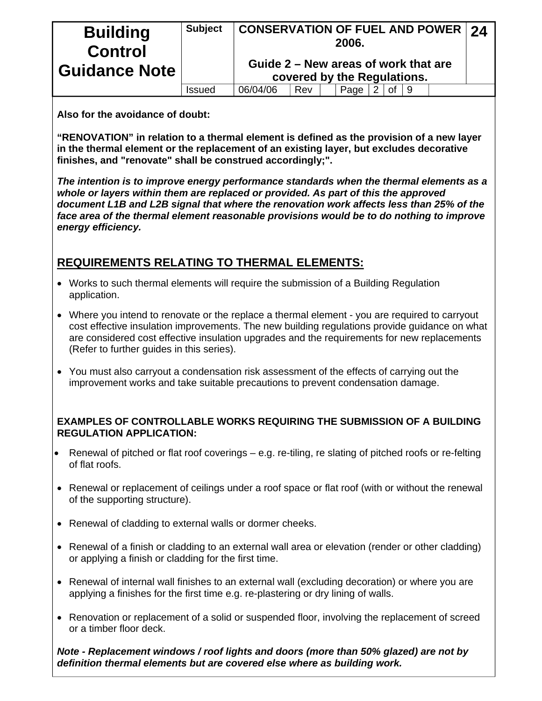| <b>Building</b><br><b>Control</b><br><b>Guidance Note</b> | <b>Subject</b> | <b>CONSERVATION OF FUEL AND POWER 24</b> |     | 2006.                       |    |     |  |
|-----------------------------------------------------------|----------------|------------------------------------------|-----|-----------------------------|----|-----|--|
|                                                           |                | Guide 2 – New areas of work that are     |     | covered by the Regulations. |    |     |  |
|                                                           | Issued         | 06/04/06                                 | Rev | Page                        | ∩t | - 9 |  |

### **Also for the avoidance of doubt:**

**"RENOVATION" in relation to a thermal element is defined as the provision of a new layer in the thermal element or the replacement of an existing layer, but excludes decorative finishes, and "renovate" shall be construed accordingly;".** 

*The intention is to improve energy performance standards when the thermal elements as a whole or layers within them are replaced or provided. As part of this the approved document L1B and L2B signal that where the renovation work affects less than 25% of the face area of the thermal element reasonable provisions would be to do nothing to improve energy efficiency.* 

## **REQUIREMENTS RELATING TO THERMAL ELEMENTS:**

- Works to such thermal elements will require the submission of a Building Regulation application.
- Where you intend to renovate or the replace a thermal element you are required to carryout cost effective insulation improvements. The new building regulations provide guidance on what are considered cost effective insulation upgrades and the requirements for new replacements (Refer to further guides in this series).
- You must also carryout a condensation risk assessment of the effects of carrying out the improvement works and take suitable precautions to prevent condensation damage.

### **EXAMPLES OF CONTROLLABLE WORKS REQUIRING THE SUBMISSION OF A BUILDING REGULATION APPLICATION:**

- Renewal of pitched or flat roof coverings e.g. re-tiling, re slating of pitched roofs or re-felting of flat roofs.
- Renewal or replacement of ceilings under a roof space or flat roof (with or without the renewal of the supporting structure).
- Renewal of cladding to external walls or dormer cheeks.
- Renewal of a finish or cladding to an external wall area or elevation (render or other cladding) or applying a finish or cladding for the first time.
- Renewal of internal wall finishes to an external wall (excluding decoration) or where you are applying a finishes for the first time e.g. re-plastering or dry lining of walls.
- Renovation or replacement of a solid or suspended floor, involving the replacement of screed or a timber floor deck.

*Note - Replacement windows / roof lights and doors (more than 50% glazed) are not by definition thermal elements but are covered else where as building work.*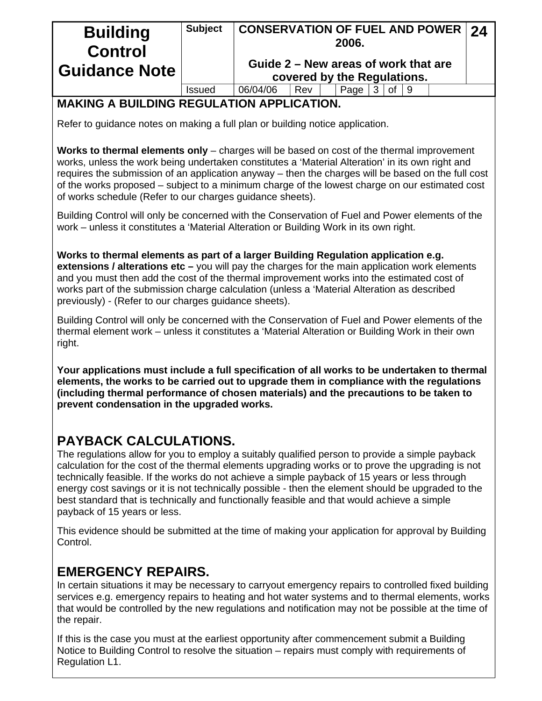| <b>Building</b><br><b>Control</b><br><b>Guidance Note</b> | <b>Subject</b> |                                      | $^\dagger$ CONSERVATION OF FUEL AND POWER $\mid$ 24<br>2006. |  |                             |  |              |  |  |  |  |
|-----------------------------------------------------------|----------------|--------------------------------------|--------------------------------------------------------------|--|-----------------------------|--|--------------|--|--|--|--|
|                                                           |                | Guide 2 – New areas of work that are |                                                              |  | covered by the Regulations. |  |              |  |  |  |  |
|                                                           | Issued         | 06/04/06                             | Rev                                                          |  | Page                        |  | of $\vert 9$ |  |  |  |  |

## **MAKING A BUILDING REGULATION APPLICATION.**

Refer to guidance notes on making a full plan or building notice application.

**Works to thermal elements only** – charges will be based on cost of the thermal improvement works, unless the work being undertaken constitutes a 'Material Alteration' in its own right and requires the submission of an application anyway – then the charges will be based on the full cost of the works proposed – subject to a minimum charge of the lowest charge on our estimated cost of works schedule (Refer to our charges guidance sheets).

Building Control will only be concerned with the Conservation of Fuel and Power elements of the work – unless it constitutes a 'Material Alteration or Building Work in its own right.

**Works to thermal elements as part of a larger Building Regulation application e.g. extensions / alterations etc –** you will pay the charges for the main application work elements and you must then add the cost of the thermal improvement works into the estimated cost of works part of the submission charge calculation (unless a 'Material Alteration as described previously) - (Refer to our charges guidance sheets).

Building Control will only be concerned with the Conservation of Fuel and Power elements of the thermal element work – unless it constitutes a 'Material Alteration or Building Work in their own right.

**Your applications must include a full specification of all works to be undertaken to thermal elements, the works to be carried out to upgrade them in compliance with the regulations (including thermal performance of chosen materials) and the precautions to be taken to prevent condensation in the upgraded works.** 

# **PAYBACK CALCULATIONS.**

The regulations allow for you to employ a suitably qualified person to provide a simple payback calculation for the cost of the thermal elements upgrading works or to prove the upgrading is not technically feasible. If the works do not achieve a simple payback of 15 years or less through energy cost savings or it is not technically possible - then the element should be upgraded to the best standard that is technically and functionally feasible and that would achieve a simple payback of 15 years or less.

This evidence should be submitted at the time of making your application for approval by Building Control.

# **EMERGENCY REPAIRS.**

In certain situations it may be necessary to carryout emergency repairs to controlled fixed building services e.g. emergency repairs to heating and hot water systems and to thermal elements, works that would be controlled by the new regulations and notification may not be possible at the time of the repair.

If this is the case you must at the earliest opportunity after commencement submit a Building Notice to Building Control to resolve the situation – repairs must comply with requirements of Regulation L1.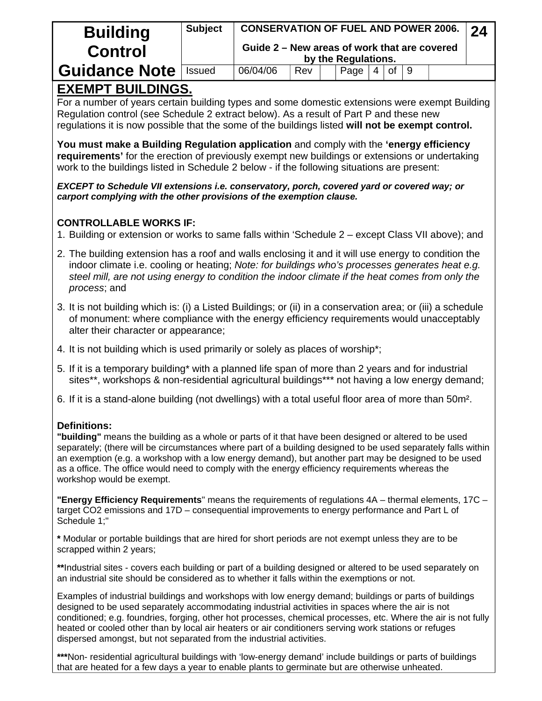| <b>Building</b>      | <b>Subject</b> | <b>CONSERVATION OF FUEL AND POWER 2006.</b>                         |     |  |      |  |              |  |  |  |  |
|----------------------|----------------|---------------------------------------------------------------------|-----|--|------|--|--------------|--|--|--|--|
| <b>Control</b>       |                | Guide 2 – New areas of work that are covered<br>by the Regulations. |     |  |      |  |              |  |  |  |  |
| <b>Guidance Note</b> | <b>Issued</b>  | 06/04/06                                                            | Rev |  | Page |  | of $\vert$ 9 |  |  |  |  |

# **EXEMPT BUILDINGS.**

For a number of years certain building types and some domestic extensions were exempt Building Regulation control (see Schedule 2 extract below). As a result of Part P and these new regulations it is now possible that the some of the buildings listed **will not be exempt control.** 

**You must make a Building Regulation application** and comply with the **'energy efficiency requirements'** for the erection of previously exempt new buildings or extensions or undertaking work to the buildings listed in Schedule 2 below - if the following situations are present:

*EXCEPT to Schedule VII extensions i.e. conservatory, porch, covered yard or covered way; or carport complying with the other provisions of the exemption clause.* 

### **CONTROLLABLE WORKS IF:**

- 1. Building or extension or works to same falls within 'Schedule 2 except Class VII above); and
- 2. The building extension has a roof and walls enclosing it and it will use energy to condition the indoor climate i.e. cooling or heating; *Note: for buildings who's processes generates heat e.g. steel mill, are not using energy to condition the indoor climate if the heat comes from only the process*; and
- 3. It is not building which is: (i) a Listed Buildings; or (ii) in a conservation area; or (iii) a schedule of monument: where compliance with the energy efficiency requirements would unacceptably alter their character or appearance;
- 4. It is not building which is used primarily or solely as places of worship\*;
- 5. If it is a temporary building\* with a planned life span of more than 2 years and for industrial sites\*\*, workshops & non-residential agricultural buildings\*\*\* not having a low energy demand;
- 6. If it is a stand-alone building (not dwellings) with a total useful floor area of more than 50m².

### **Definitions:**

**"building"** means the building as a whole or parts of it that have been designed or altered to be used separately; (there will be circumstances where part of a building designed to be used separately falls within an exemption (e.g. a workshop with a low energy demand), but another part may be designed to be used as a office. The office would need to comply with the energy efficiency requirements whereas the workshop would be exempt.

**"Energy Efficiency Requirements**" means the requirements of regulations 4A – thermal elements, 17C – target CO2 emissions and 17D – consequential improvements to energy performance and Part L of Schedule 1;"

**\*** Modular or portable buildings that are hired for short periods are not exempt unless they are to be scrapped within 2 years;

**\*\***Industrial sites - covers each building or part of a building designed or altered to be used separately on an industrial site should be considered as to whether it falls within the exemptions or not.

Examples of industrial buildings and workshops with low energy demand; buildings or parts of buildings designed to be used separately accommodating industrial activities in spaces where the air is not conditioned; e.g. foundries, forging, other hot processes, chemical processes, etc. Where the air is not fully heated or cooled other than by local air heaters or air conditioners serving work stations or refuges dispersed amongst, but not separated from the industrial activities.

**\*\*\***Non- residential agricultural buildings with 'low-energy demand' include buildings or parts of buildings that are heated for a few days a year to enable plants to germinate but are otherwise unheated.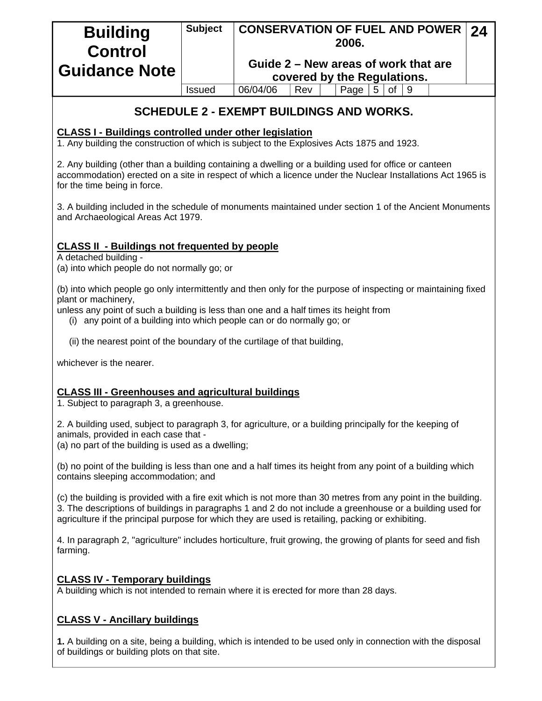| <b>Building</b><br><b>Control</b><br><b>Guidance Note</b> | <b>Subject</b> | <b>CONSERVATION OF FUEL AND POWER 24</b><br>2006. |     |  |                             |   |    |  |  |  |
|-----------------------------------------------------------|----------------|---------------------------------------------------|-----|--|-----------------------------|---|----|--|--|--|
|                                                           |                | Guide 2 – New areas of work that are              |     |  | covered by the Regulations. |   |    |  |  |  |
|                                                           | <b>Issued</b>  | 06/04/06                                          | Rev |  | Page                        | 5 | of |  |  |  |

## **SCHEDULE 2 - EXEMPT BUILDINGS AND WORKS.**

#### **CLASS I - Buildings controlled under other legislation**

1. Any building the construction of which is subject to the Explosives Acts 1875 and 1923.

2. Any building (other than a building containing a dwelling or a building used for office or canteen accommodation) erected on a site in respect of which a licence under the Nuclear Installations Act 1965 is for the time being in force.

3. A building included in the schedule of monuments maintained under section 1 of the Ancient Monuments and Archaeological Areas Act 1979.

### **CLASS II - Buildings not frequented by people**

A detached building -

(a) into which people do not normally go; or

(b) into which people go only intermittently and then only for the purpose of inspecting or maintaining fixed plant or machinery,

unless any point of such a building is less than one and a half times its height from

- (i) any point of a building into which people can or do normally go; or
- (ii) the nearest point of the boundary of the curtilage of that building,

whichever is the nearer.

#### **CLASS III - Greenhouses and agricultural buildings**

1. Subject to paragraph 3, a greenhouse.

2. A building used, subject to paragraph 3, for agriculture, or a building principally for the keeping of animals, provided in each case that -

(a) no part of the building is used as a dwelling;

(b) no point of the building is less than one and a half times its height from any point of a building which contains sleeping accommodation; and

(c) the building is provided with a fire exit which is not more than 30 metres from any point in the building. 3. The descriptions of buildings in paragraphs 1 and 2 do not include a greenhouse or a building used for agriculture if the principal purpose for which they are used is retailing, packing or exhibiting.

4. In paragraph 2, "agriculture" includes horticulture, fruit growing, the growing of plants for seed and fish farming.

#### **CLASS IV - Temporary buildings**

A building which is not intended to remain where it is erected for more than 28 days.

#### **CLASS V - Ancillary buildings**

**1.** A building on a site, being a building, which is intended to be used only in connection with the disposal of buildings or building plots on that site.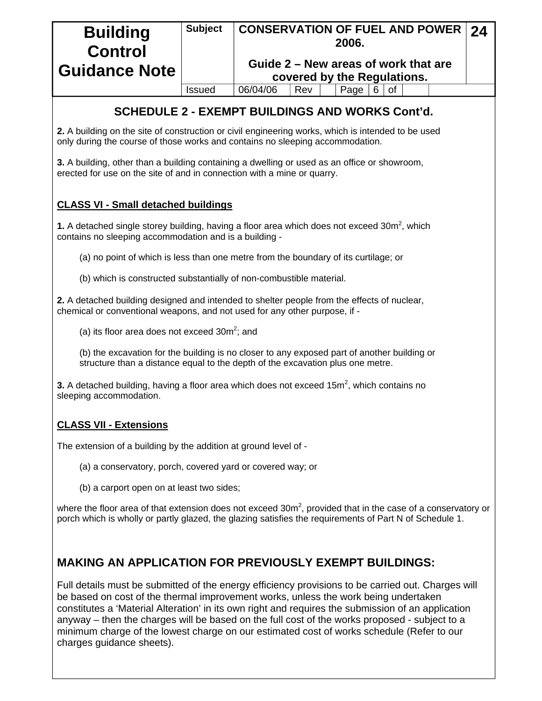| <b>Building</b><br><b>Control</b><br>  Guidance Note                                                                                                         | <b>Subject</b> | <b>CONSERVATION OF FUEL AND POWER</b><br>2006.<br>Guide 2 – New areas of work that are<br>covered by the Regulations. |     |      |  |    |  |  |  |  |  |
|--------------------------------------------------------------------------------------------------------------------------------------------------------------|----------------|-----------------------------------------------------------------------------------------------------------------------|-----|------|--|----|--|--|--|--|--|
|                                                                                                                                                              | Issued         | 06/04/06                                                                                                              | Rev | Page |  | οf |  |  |  |  |  |
| <b>SCHEDULE 2 - EXEMPT BUILDINGS AND WORKS Cont'd.</b><br>2. A building on the site of construction or civil engineering works, which is intended to be used |                |                                                                                                                       |     |      |  |    |  |  |  |  |  |

**3.** A building, other than a building containing a dwelling or used as an office or showroom, erected for use on the site of and in connection with a mine or quarry.

only during the course of those works and contains no sleeping accommodation.

#### **CLASS VI - Small detached buildings**

**1.** A detached single storey building, having a floor area which does not exceed  $30m^2$ , which contains no sleeping accommodation and is a building -

- (a) no point of which is less than one metre from the boundary of its curtilage; or
- (b) which is constructed substantially of non-combustible material.

**2.** A detached building designed and intended to shelter people from the effects of nuclear, chemical or conventional weapons, and not used for any other purpose, if -

(a) its floor area does not exceed  $30m^2$ ; and

(b) the excavation for the building is no closer to any exposed part of another building or structure than a distance equal to the depth of the excavation plus one metre.

**3.** A detached building, having a floor area which does not exceed 15 $m<sup>2</sup>$ , which contains no sleeping accommodation.

#### **CLASS VII - Extensions**

The extension of a building by the addition at ground level of -

- (a) a conservatory, porch, covered yard or covered way; or
- (b) a carport open on at least two sides;

where the floor area of that extension does not exceed  $30m^2$ , provided that in the case of a conservatory or porch which is wholly or partly glazed, the glazing satisfies the requirements of Part N of Schedule 1.

### **MAKING AN APPLICATION FOR PREVIOUSLY EXEMPT BUILDINGS:**

Full details must be submitted of the energy efficiency provisions to be carried out. Charges will be based on cost of the thermal improvement works, unless the work being undertaken constitutes a 'Material Alteration' in its own right and requires the submission of an application anyway – then the charges will be based on the full cost of the works proposed - subject to a minimum charge of the lowest charge on our estimated cost of works schedule (Refer to our charges guidance sheets).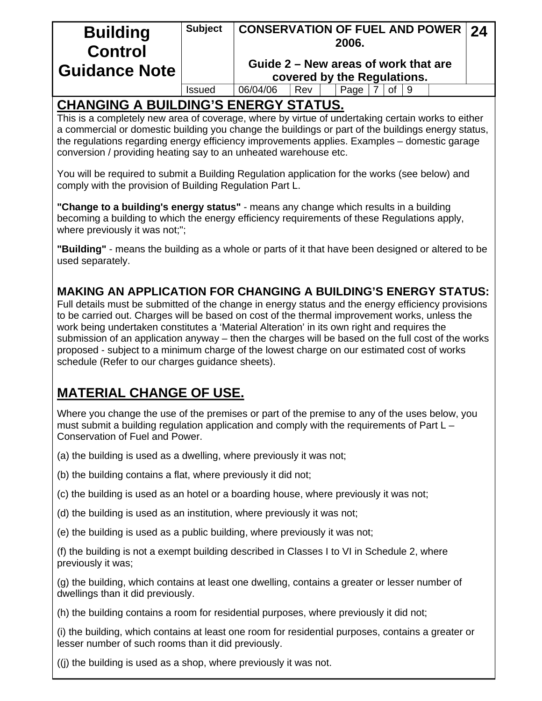| <b>Building</b><br><b>Control</b> | <b>Subject</b> | <b>CONSERVATION OF FUEL AND POWER 24</b><br>2006. |                             |  |      |  |    |  |  |  |  |
|-----------------------------------|----------------|---------------------------------------------------|-----------------------------|--|------|--|----|--|--|--|--|
| <b>Suidance Note</b>              |                | Guide 2 – New areas of work that are              | covered by the Regulations. |  |      |  |    |  |  |  |  |
|                                   | <b>Issued</b>  | 06/04/06                                          | Rev                         |  | Page |  | οf |  |  |  |  |
|                                   |                |                                                   |                             |  |      |  |    |  |  |  |  |

# **CHANGING A BUILDING'S ENERGY STATUS.**

This is a completely new area of coverage, where by virtue of undertaking certain works to either a commercial or domestic building you change the buildings or part of the buildings energy status, the regulations regarding energy efficiency improvements applies. Examples – domestic garage conversion / providing heating say to an unheated warehouse etc.

You will be required to submit a Building Regulation application for the works (see below) and comply with the provision of Building Regulation Part L.

**"Change to a building's energy status"** - means any change which results in a building becoming a building to which the energy efficiency requirements of these Regulations apply, where previously it was not;";

**"Building"** - means the building as a whole or parts of it that have been designed or altered to be used separately.

## **MAKING AN APPLICATION FOR CHANGING A BUILDING'S ENERGY STATUS:**

Full details must be submitted of the change in energy status and the energy efficiency provisions to be carried out. Charges will be based on cost of the thermal improvement works, unless the work being undertaken constitutes a 'Material Alteration' in its own right and requires the submission of an application anyway – then the charges will be based on the full cost of the works proposed - subject to a minimum charge of the lowest charge on our estimated cost of works schedule (Refer to our charges guidance sheets).

# **MATERIAL CHANGE OF USE.**

Where you change the use of the premises or part of the premise to any of the uses below, you must submit a building regulation application and comply with the requirements of Part L – Conservation of Fuel and Power.

- (a) the building is used as a dwelling, where previously it was not;
- (b) the building contains a flat, where previously it did not;
- (c) the building is used as an hotel or a boarding house, where previously it was not;
- (d) the building is used as an institution, where previously it was not;
- (e) the building is used as a public building, where previously it was not;

(f) the building is not a exempt building described in Classes I to VI in Schedule 2, where previously it was;

(g) the building, which contains at least one dwelling, contains a greater or lesser number of dwellings than it did previously.

(h) the building contains a room for residential purposes, where previously it did not;

(i) the building, which contains at least one room for residential purposes, contains a greater or lesser number of such rooms than it did previously.

((j) the building is used as a shop, where previously it was not.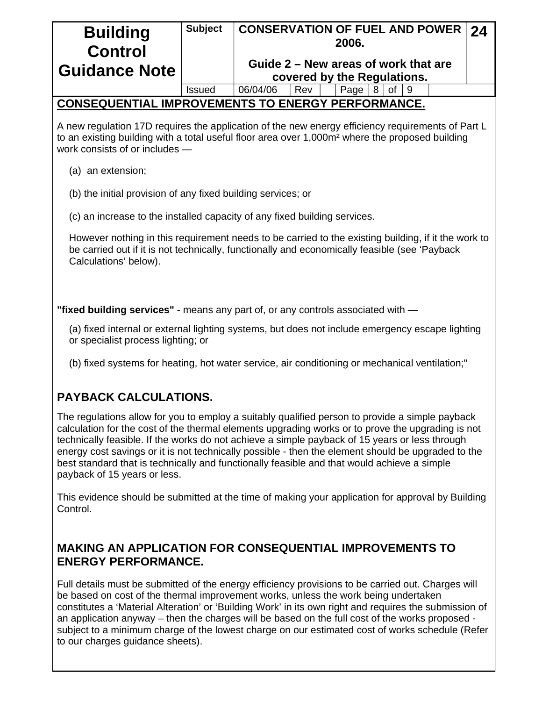| <b>Building</b><br><b>Control</b>                                                                                                                                                                                             | <b>Subject</b> | <b>CONSERVATION OF FUEL AND POWER</b><br>2006.<br>Guide 2 – New areas of work that are                                                                                                                                                                                                                                                                                                                                                                                                                      | 24 |  |  |  |  |  |  |  |
|-------------------------------------------------------------------------------------------------------------------------------------------------------------------------------------------------------------------------------|----------------|-------------------------------------------------------------------------------------------------------------------------------------------------------------------------------------------------------------------------------------------------------------------------------------------------------------------------------------------------------------------------------------------------------------------------------------------------------------------------------------------------------------|----|--|--|--|--|--|--|--|
| <b>Guidance Note</b>                                                                                                                                                                                                          |                | covered by the Regulations.                                                                                                                                                                                                                                                                                                                                                                                                                                                                                 |    |  |  |  |  |  |  |  |
|                                                                                                                                                                                                                               | <b>Issued</b>  | 06/04/06<br>Rev<br>8<br>Page<br>0f<br>9                                                                                                                                                                                                                                                                                                                                                                                                                                                                     |    |  |  |  |  |  |  |  |
|                                                                                                                                                                                                                               |                | <b>CONSEQUENTIAL IMPROVEMENTS TO ENERGY PERFORMANCE.</b>                                                                                                                                                                                                                                                                                                                                                                                                                                                    |    |  |  |  |  |  |  |  |
| work consists of or includes -                                                                                                                                                                                                |                | A new regulation 17D requires the application of the new energy efficiency requirements of Part L<br>to an existing building with a total useful floor area over 1,000m <sup>2</sup> where the proposed building                                                                                                                                                                                                                                                                                            |    |  |  |  |  |  |  |  |
| (a) an extension;                                                                                                                                                                                                             |                |                                                                                                                                                                                                                                                                                                                                                                                                                                                                                                             |    |  |  |  |  |  |  |  |
| (b) the initial provision of any fixed building services; or                                                                                                                                                                  |                |                                                                                                                                                                                                                                                                                                                                                                                                                                                                                                             |    |  |  |  |  |  |  |  |
| (c) an increase to the installed capacity of any fixed building services.                                                                                                                                                     |                |                                                                                                                                                                                                                                                                                                                                                                                                                                                                                                             |    |  |  |  |  |  |  |  |
| However nothing in this requirement needs to be carried to the existing building, if it the work to<br>be carried out if it is not technically, functionally and economically feasible (see 'Payback<br>Calculations' below). |                |                                                                                                                                                                                                                                                                                                                                                                                                                                                                                                             |    |  |  |  |  |  |  |  |
|                                                                                                                                                                                                                               |                | "fixed building services" - means any part of, or any controls associated with -                                                                                                                                                                                                                                                                                                                                                                                                                            |    |  |  |  |  |  |  |  |
| or specialist process lighting; or                                                                                                                                                                                            |                | (a) fixed internal or external lighting systems, but does not include emergency escape lighting                                                                                                                                                                                                                                                                                                                                                                                                             |    |  |  |  |  |  |  |  |
|                                                                                                                                                                                                                               |                | (b) fixed systems for heating, hot water service, air conditioning or mechanical ventilation;"                                                                                                                                                                                                                                                                                                                                                                                                              |    |  |  |  |  |  |  |  |
| <b>PAYBACK CALCULATIONS.</b>                                                                                                                                                                                                  |                |                                                                                                                                                                                                                                                                                                                                                                                                                                                                                                             |    |  |  |  |  |  |  |  |
| payback of 15 years or less.                                                                                                                                                                                                  |                | The regulations allow for you to employ a suitably qualified person to provide a simple payback<br>calculation for the cost of the thermal elements upgrading works or to prove the upgrading is not<br>technically feasible. If the works do not achieve a simple payback of 15 years or less through<br>energy cost savings or it is not technically possible - then the element should be upgraded to the<br>best standard that is technically and functionally feasible and that would achieve a simple |    |  |  |  |  |  |  |  |
| Control.                                                                                                                                                                                                                      |                | This evidence should be submitted at the time of making your application for approval by Building                                                                                                                                                                                                                                                                                                                                                                                                           |    |  |  |  |  |  |  |  |

## **MAKING AN APPLICATION FOR CONSEQUENTIAL IMPROVEMENTS TO ENERGY PERFORMANCE.**

Full details must be submitted of the energy efficiency provisions to be carried out. Charges will be based on cost of the thermal improvement works, unless the work being undertaken constitutes a 'Material Alteration' or 'Building Work' in its own right and requires the submission of an application anyway – then the charges will be based on the full cost of the works proposed subject to a minimum charge of the lowest charge on our estimated cost of works schedule (Refer to our charges guidance sheets).